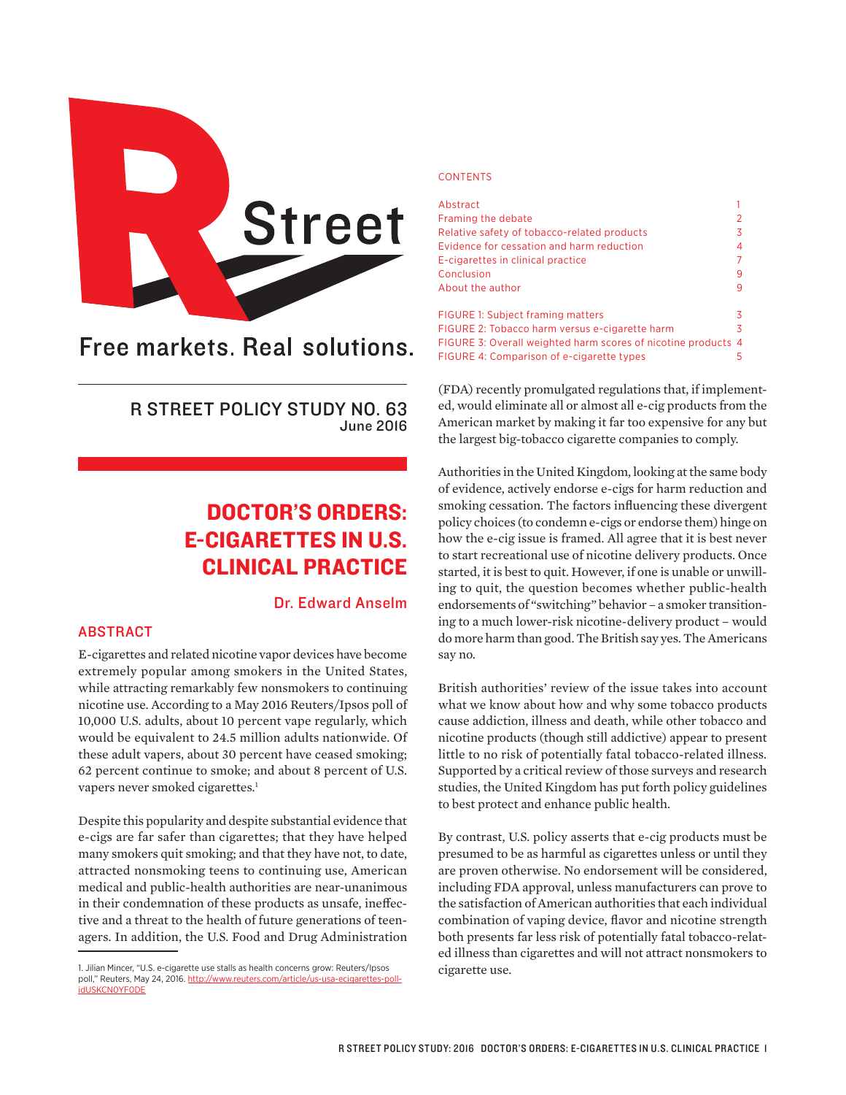

# Free markets. Real solutions.

R STREET POLICY STUDY NO. 63 June 2016

## DOCTOR'S ORDERS: E-CIGARETTES IN U.S. CLINICAL PRACTICE

## Dr. Edward Anselm

## ABSTRACT

E-cigarettes and related nicotine vapor devices have become extremely popular among smokers in the United States, while attracting remarkably few nonsmokers to continuing nicotine use. According to a May 2016 Reuters/Ipsos poll of 10,000 U.S. adults, about 10 percent vape regularly, which would be equivalent to 24.5 million adults nationwide. Of these adult vapers, about 30 percent have ceased smoking; 62 percent continue to smoke; and about 8 percent of U.S. vapers never smoked cigarettes.<sup>1</sup>

Despite this popularity and despite substantial evidence that e-cigs are far safer than cigarettes; that they have helped many smokers quit smoking; and that they have not, to date, attracted nonsmoking teens to continuing use, American medical and public-health authorities are near-unanimous in their condemnation of these products as unsafe, ineffective and a threat to the health of future generations of teenagers. In addition, the U.S. Food and Drug Administration

#### **CONTENTS**

| Abstract<br>Framing the debate<br>Relative safety of tobacco-related products<br>Evidence for cessation and harm reduction<br>E-cigarettes in clinical practice<br>Conclusion<br>About the author | 3<br>4<br>9<br>9 |
|---------------------------------------------------------------------------------------------------------------------------------------------------------------------------------------------------|------------------|
| FIGURE 1: Subject framing matters<br>FIGURE 2: Tobacco harm versus e-cigarette harm<br>FIGURE 3: Overall weighted harm scores of nicotine products 4<br>FIGURE 4: Comparison of e-cigarette types | 3<br>3           |

(FDA) recently promulgated regulations that, if implemented, would eliminate all or almost all e-cig products from the American market by making it far too expensive for any but the largest big-tobacco cigarette companies to comply.

Authorities in the United Kingdom, looking at the same body of evidence, actively endorse e-cigs for harm reduction and smoking cessation. The factors influencing these divergent policy choices (to condemn e-cigs or endorse them) hinge on how the e-cig issue is framed. All agree that it is best never to start recreational use of nicotine delivery products. Once started, it is best to quit. However, if one is unable or unwilling to quit, the question becomes whether public-health endorsements of "switching" behavior – a smoker transitioning to a much lower-risk nicotine-delivery product – would do more harm than good. The British say yes. The Americans say no.

British authorities' review of the issue takes into account what we know about how and why some tobacco products cause addiction, illness and death, while other tobacco and nicotine products (though still addictive) appear to present little to no risk of potentially fatal tobacco-related illness. Supported by a critical review of those surveys and research studies, the United Kingdom has put forth policy guidelines to best protect and enhance public health.

By contrast, U.S. policy asserts that e-cig products must be presumed to be as harmful as cigarettes unless or until they are proven otherwise. No endorsement will be considered, including FDA approval, unless manufacturers can prove to the satisfaction of American authorities that each individual combination of vaping device, flavor and nicotine strength both presents far less risk of potentially fatal tobacco-related illness than cigarettes and will not attract nonsmokers to cigarette use.

<sup>1.</sup> Jilian Mincer, "U.S. e-cigarette use stalls as health concerns grow: Reuters/Ipsos poll," Reuters, May 24, 2016. [http://www.reuters.com/article/us-usa-ecigarettes-poll](http://www.reuters.com/article/us-usa-ecigarettes-poll-idUSKCN0YF0DE)[idUSKCN0YF0DE](http://www.reuters.com/article/us-usa-ecigarettes-poll-idUSKCN0YF0DE)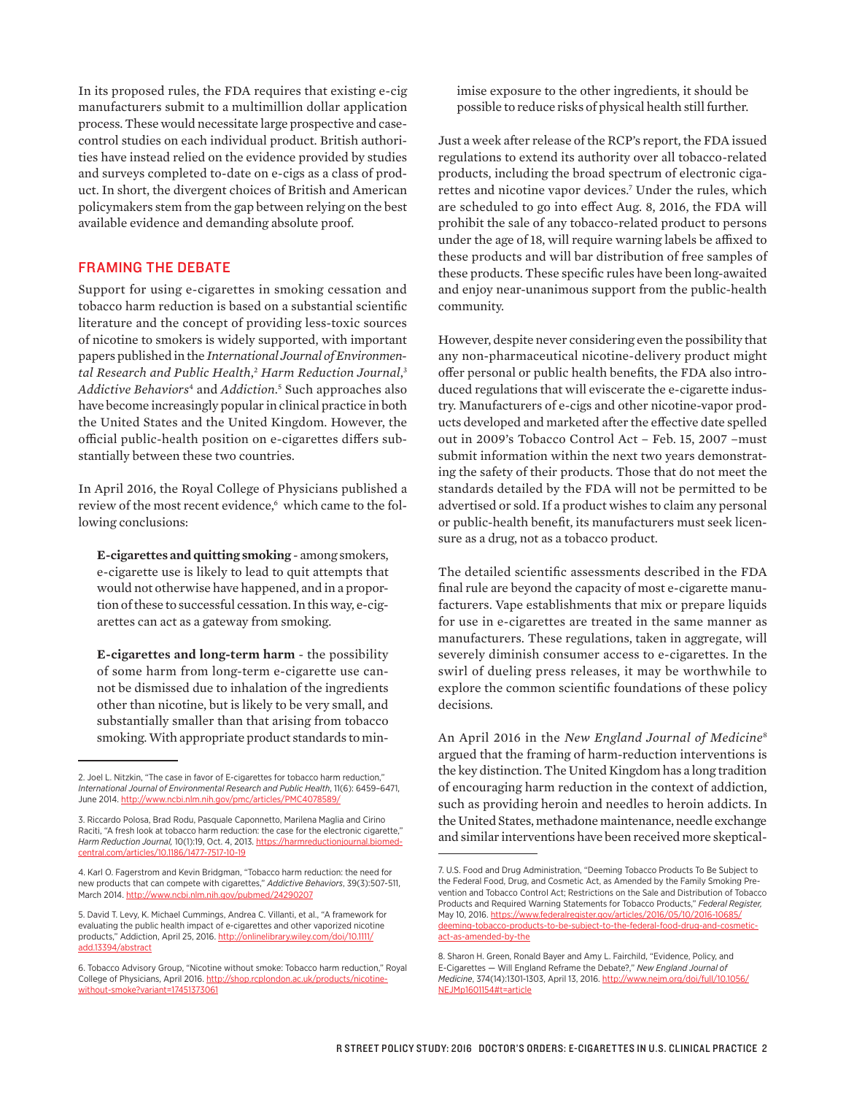In its proposed rules, the FDA requires that existing e-cig manufacturers submit to a multimillion dollar application process. These would necessitate large prospective and casecontrol studies on each individual product. British authorities have instead relied on the evidence provided by studies and surveys completed to-date on e-cigs as a class of product. In short, the divergent choices of British and American policymakers stem from the gap between relying on the best available evidence and demanding absolute proof.

## FRAMING THE DEBATE

Support for using e-cigarettes in smoking cessation and tobacco harm reduction is based on a substantial scientific literature and the concept of providing less-toxic sources of nicotine to smokers is widely supported, with important papers published in the *International Journal of Environmental Research and Public Health*, <sup>2</sup> *Harm Reduction Journal*, 3 *Addictive Behaviors*<sup>4</sup> and *Addiction*. 5 Such approaches also have become increasingly popular in clinical practice in both the United States and the United Kingdom. However, the official public-health position on e-cigarettes differs substantially between these two countries.

In April 2016, the Royal College of Physicians published a review of the most recent evidence, which came to the following conclusions:

**E-cigarettes and quitting smoking** - among smokers, e-cigarette use is likely to lead to quit attempts that would not otherwise have happened, and in a proportion of these to successful cessation. In this way, e-cigarettes can act as a gateway from smoking.

**E-cigarettes and long-term harm** - the possibility of some harm from long-term e-cigarette use cannot be dismissed due to inhalation of the ingredients other than nicotine, but is likely to be very small, and substantially smaller than that arising from tobacco smoking. With appropriate product standards to minimise exposure to the other ingredients, it should be possible to reduce risks of physical health still further.

Just a week after release of the RCP's report, the FDA issued regulations to extend its authority over all tobacco-related products, including the broad spectrum of electronic cigarettes and nicotine vapor devices.<sup>7</sup> Under the rules, which are scheduled to go into effect Aug. 8, 2016, the FDA will prohibit the sale of any tobacco-related product to persons under the age of 18, will require warning labels be affixed to these products and will bar distribution of free samples of these products. These specific rules have been long-awaited and enjoy near-unanimous support from the public-health community.

However, despite never considering even the possibility that any non-pharmaceutical nicotine-delivery product might offer personal or public health benefits, the FDA also introduced regulations that will eviscerate the e-cigarette industry. Manufacturers of e-cigs and other nicotine-vapor products developed and marketed after the effective date spelled out in 2009's Tobacco Control Act – Feb. 15, 2007 –must submit information within the next two years demonstrating the safety of their products. Those that do not meet the standards detailed by the FDA will not be permitted to be advertised or sold. If a product wishes to claim any personal or public-health benefit, its manufacturers must seek licensure as a drug, not as a tobacco product.

The detailed scientific assessments described in the FDA final rule are beyond the capacity of most e-cigarette manufacturers. Vape establishments that mix or prepare liquids for use in e-cigarettes are treated in the same manner as manufacturers. These regulations, taken in aggregate, will severely diminish consumer access to e-cigarettes. In the swirl of dueling press releases, it may be worthwhile to explore the common scientific foundations of these policy decisions.

An April 2016 in the *New England Journal of Medicine*<sup>8</sup> argued that the framing of harm-reduction interventions is the key distinction. The United Kingdom has a long tradition of encouraging harm reduction in the context of addiction, such as providing heroin and needles to heroin addicts. In the United States, methadone maintenance, needle exchange and similar interventions have been received more skeptical-

<sup>2.</sup> Joel L. Nitzkin, "The case in favor of E-cigarettes for tobacco harm reduction," *International Journal of Environmental Research and Public Health*, 11(6): 6459–6471, June 2014. http://www.ncbi.nlm.nih.gov/pmc/articles/PMC40785

<sup>3.</sup> Riccardo Polosa, Brad Rodu, Pasquale Caponnetto, Marilena Maglia and Cirino Raciti, "A fresh look at tobacco harm reduction: the case for the electronic cigarette," *Harm Reduction Journal,* 10(1):19, Oct. 4, 2013. [https://harmreductionjournal.biomed](https://harmreductionjournal.biomedcentral.com/articles/10.1186/1477-7517-10-19)[central.com/articles/10.1186/1477-7517-10-19](https://harmreductionjournal.biomedcentral.com/articles/10.1186/1477-7517-10-19)

<sup>4.</sup> Karl O. Fagerstrom and Kevin Bridgman, "Tobacco harm reduction: the need for new products that can compete with cigarettes," *Addictive Behaviors*, 39(3):507-511, March 2014.<http://www.ncbi.nlm.nih.gov/pubmed/24290207>

<sup>5.</sup> David T. Levy, K. Michael Cummings, Andrea C. Villanti, et al., "A framework for evaluating the public health impact of e-cigarettes and other vaporized nicotine products," Addiction, April 25, 2016. [http://onlinelibrary.wiley.com/doi/10.1111/](http://onlinelibrary.wiley.com/doi/10.1111/add.13394/abstract) [add.13394/abstract](http://onlinelibrary.wiley.com/doi/10.1111/add.13394/abstract)

<sup>6.</sup> Tobacco Advisory Group, "Nicotine without smoke: Tobacco harm reduction," Royal College of Physicians, April 2016. [http://shop.rcplondon.ac.uk/products/nicotine](http://shop.rcplondon.ac.uk/products/nicotine-without-smoke?variant=17451373061)[without-smoke?variant=17451373061](http://shop.rcplondon.ac.uk/products/nicotine-without-smoke?variant=17451373061)

<sup>7.</sup> U.S. Food and Drug Administration, "Deeming Tobacco Products To Be Subject to the Federal Food, Drug, and Cosmetic Act, as Amended by the Family Smoking Prevention and Tobacco Control Act; Restrictions on the Sale and Distribution of Tobacco Products and Required Warning Statements for Tobacco Products," *Federal Register,* May 10, 2016. [https://www.federalregister.gov/articles/2016/05/10/2016-10685/](https://www.federalregister.gov/articles/2016/05/10/2016-10685/deeming-tobacco-products-to-be-subject-to-the-federal-food-drug-and-cosmetic-act-as-amended-by-the) [deeming-tobacco-products-to-be-subject-to-the-federal-food-drug-and-cosmetic](https://www.federalregister.gov/articles/2016/05/10/2016-10685/deeming-tobacco-products-to-be-subject-to-the-federal-food-drug-and-cosmetic-act-as-amended-by-the)[act-as-amended-by-the](https://www.federalregister.gov/articles/2016/05/10/2016-10685/deeming-tobacco-products-to-be-subject-to-the-federal-food-drug-and-cosmetic-act-as-amended-by-the)

<sup>8.</sup> Sharon H. Green, Ronald Bayer and Amy L. Fairchild, "Evidence, Policy, and E-Cigarettes — Will England Reframe the Debate?," *New England Journal of Medicine*, 374(14):1301-1303, April 13, 2016. [http://www.nejm.org/doi/full/10.1056/](http://www.nejm.org/doi/full/10.1056/NEJMp1601154#t=article) [NEJMp1601154#t=article](http://www.nejm.org/doi/full/10.1056/NEJMp1601154#t=article)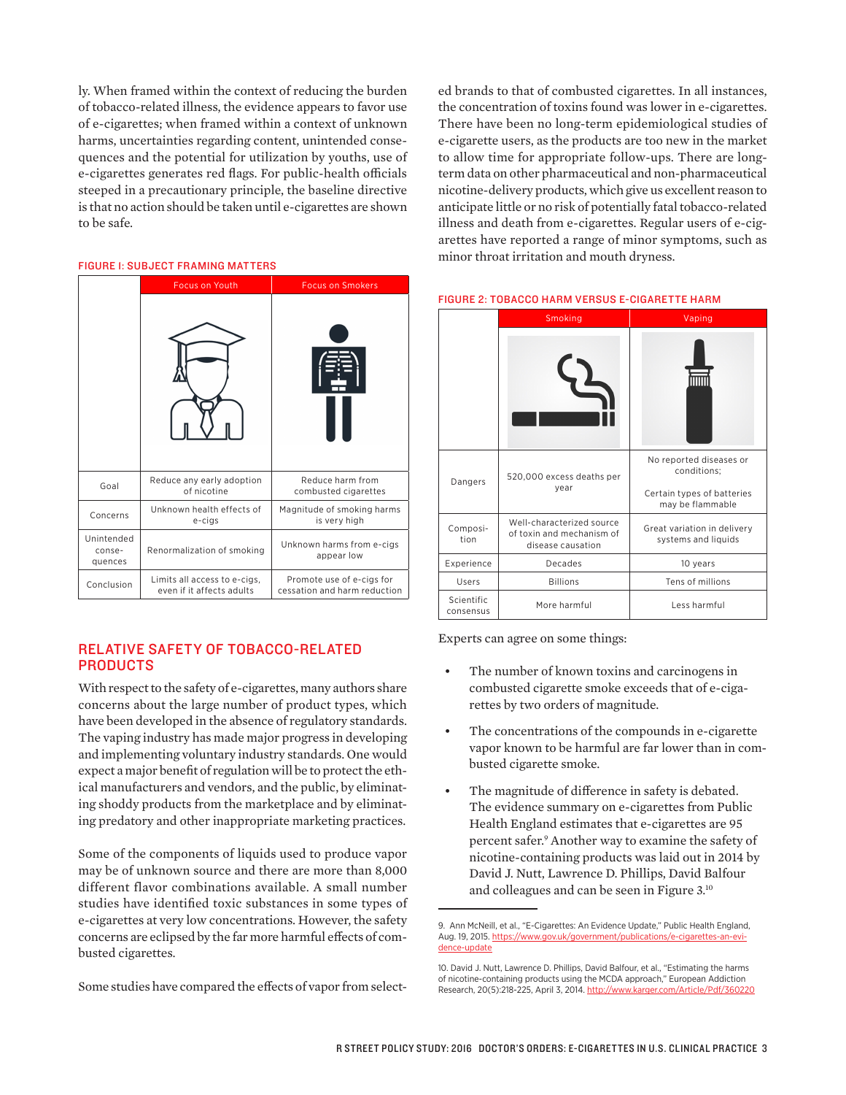ly. When framed within the context of reducing the burden of tobacco-related illness, the evidence appears to favor use of e-cigarettes; when framed within a context of unknown harms, uncertainties regarding content, unintended consequences and the potential for utilization by youths, use of e-cigarettes generates red flags. For public-health officials steeped in a precautionary principle, the baseline directive is that no action should be taken until e-cigarettes are shown to be safe.

#### FIGURE 1: SUBJECT FRAMING MATTERS

|                                 | <b>Focus on Youth</b>                                     | <b>Focus on Smokers</b>                                   |
|---------------------------------|-----------------------------------------------------------|-----------------------------------------------------------|
|                                 |                                                           |                                                           |
| Goal                            | Reduce any early adoption<br>of nicotine                  | Reduce harm from<br>combusted cigarettes                  |
| Concerns                        | Unknown health effects of<br>e-cigs                       | Magnitude of smoking harms<br>is very high                |
| Unintended<br>conse-<br>quences | Renormalization of smoking                                | Unknown harms from e-cigs<br>appear low                   |
| Conclusion                      | Limits all access to e-cigs,<br>even if it affects adults | Promote use of e-cigs for<br>cessation and harm reduction |

## RELATIVE SAFETY OF TOBACCO-RELATED PRODUCTS

With respect to the safety of e-cigarettes, many authors share concerns about the large number of product types, which have been developed in the absence of regulatory standards. The vaping industry has made major progress in developing and implementing voluntary industry standards. One would expect a major benefit of regulation will be to protect the ethical manufacturers and vendors, and the public, by eliminating shoddy products from the marketplace and by eliminating predatory and other inappropriate marketing practices.

Some of the components of liquids used to produce vapor may be of unknown source and there are more than 8,000 different flavor combinations available. A small number studies have identified toxic substances in some types of e-cigarettes at very low concentrations. However, the safety concerns are eclipsed by the far more harmful effects of combusted cigarettes.

Some studies have compared the effects of vapor from select-

ed brands to that of combusted cigarettes. In all instances, the concentration of toxins found was lower in e-cigarettes. There have been no long-term epidemiological studies of e-cigarette users, as the products are too new in the market to allow time for appropriate follow-ups. There are longterm data on other pharmaceutical and non-pharmaceutical nicotine-delivery products, which give us excellent reason to anticipate little or no risk of potentially fatal tobacco-related illness and death from e-cigarettes. Regular users of e-cigarettes have reported a range of minor symptoms, such as minor throat irritation and mouth dryness.

|                         | Smoking                                                                     | Vaping                                                                                   |
|-------------------------|-----------------------------------------------------------------------------|------------------------------------------------------------------------------------------|
|                         |                                                                             |                                                                                          |
| Dangers                 | 520,000 excess deaths per<br>year                                           | No reported diseases or<br>conditions:<br>Certain types of batteries<br>may be flammable |
| Composi-<br>tion        | Well-characterized source<br>of toxin and mechanism of<br>disease causation | Great variation in delivery<br>systems and liquids                                       |
| Experience              | Decades                                                                     | 10 years                                                                                 |
| Users                   | <b>Billions</b>                                                             | Tens of millions                                                                         |
| Scientific<br>consensus | More harmful                                                                | Less harmful                                                                             |

FIGURE 2: TOBACCO HARM VERSUS E-CIGARETTE HARM

Experts can agree on some things:

- The number of known toxins and carcinogens in combusted cigarette smoke exceeds that of e-cigarettes by two orders of magnitude.
- The concentrations of the compounds in e-cigarette vapor known to be harmful are far lower than in combusted cigarette smoke.
- The magnitude of difference in safety is debated. The evidence summary on e-cigarettes from Public Health England estimates that e-cigarettes are 95 percent safer.<sup>9</sup> Another way to examine the safety of nicotine-containing products was laid out in 2014 by David J. Nutt, Lawrence D. Phillips, David Balfour and colleagues and can be seen in Figure 3.10

<sup>9.</sup> Ann McNeill, et al., "E-Cigarettes: An Evidence Update," Public Health England, Aug. 19, 2015. [https://www.gov.uk/government/publications/e-cigarettes-an-evi](https://www.gov.uk/government/publications/e-cigarettes-an-evidence-update)[dence-update](https://www.gov.uk/government/publications/e-cigarettes-an-evidence-update)

<sup>10.</sup> David J. Nutt, Lawrence D. Phillips, David Balfour, et al., "Estimating the harms of nicotine-containing products using the MCDA approach," European Addiction Research, 20(5):218-225, April 3, 2014.<http://www.karger.com/Article/Pdf/360220>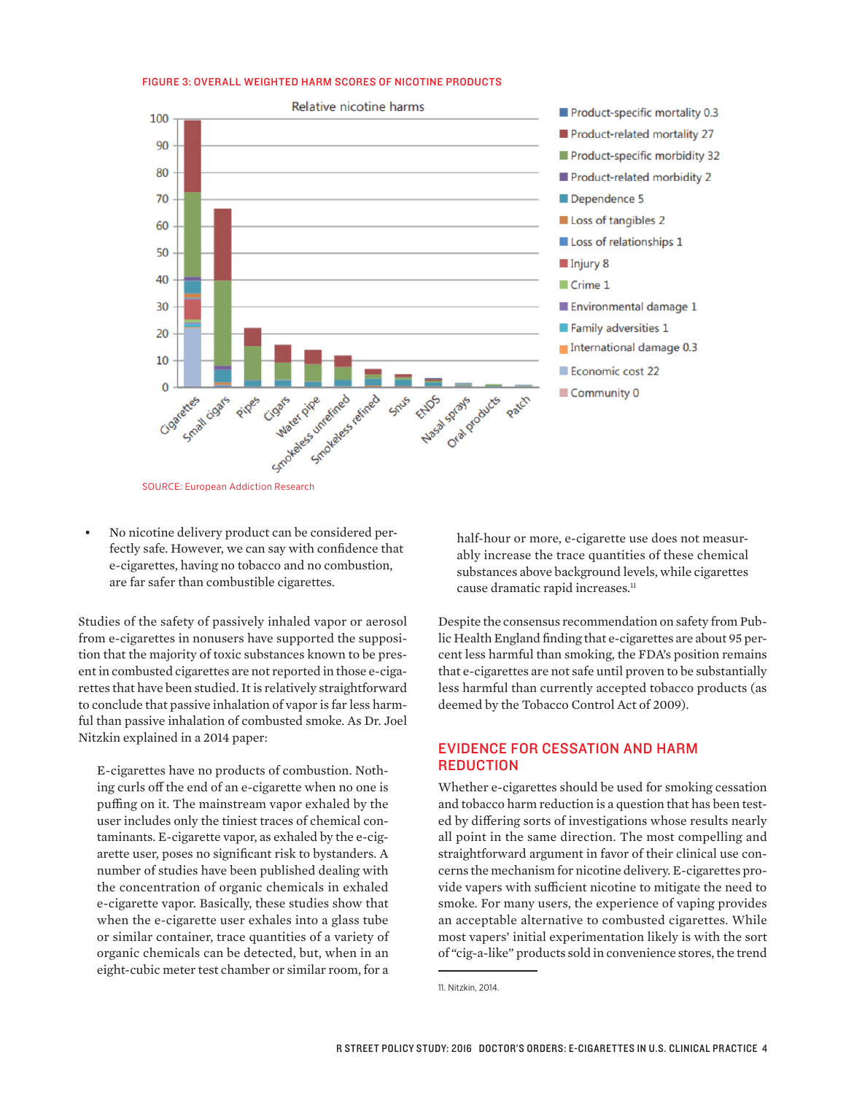



SOURCE: European Addiction Research

• No nicotine delivery product can be considered perfectly safe. However, we can say with confidence that e-cigarettes, having no tobacco and no combustion, are far safer than combustible cigarettes.

Studies of the safety of passively inhaled vapor or aerosol from e-cigarettes in nonusers have supported the supposition that the majority of toxic substances known to be present in combusted cigarettes are not reported in those e-cigarettes that have been studied. It is relatively straightforward to conclude that passive inhalation of vapor is far less harmful than passive inhalation of combusted smoke. As Dr. Joel Nitzkin explained in a 2014 paper:

E-cigarettes have no products of combustion. Nothing curls off the end of an e-cigarette when no one is puffing on it. The mainstream vapor exhaled by the user includes only the tiniest traces of chemical contaminants. E-cigarette vapor, as exhaled by the e-cigarette user, poses no significant risk to bystanders. A number of studies have been published dealing with the concentration of organic chemicals in exhaled e-cigarette vapor. Basically, these studies show that when the e-cigarette user exhales into a glass tube or similar container, trace quantities of a variety of organic chemicals can be detected, but, when in an eight-cubic meter test chamber or similar room, for a half-hour or more, e-cigarette use does not measurably increase the trace quantities of these chemical substances above background levels, while cigarettes cause dramatic rapid increases.<sup>11</sup>

Despite the consensus recommendation on safety from Public Health England finding that e-cigarettes are about 95 percent less harmful than smoking, the FDA's position remains that e-cigarettes are not safe until proven to be substantially less harmful than currently accepted tobacco products (as deemed by the Tobacco Control Act of 2009).

### EVIDENCE FOR CESSATION AND HARM **REDUCTION**

Whether e-cigarettes should be used for smoking cessation and tobacco harm reduction is a question that has been tested by differing sorts of investigations whose results nearly all point in the same direction. The most compelling and straightforward argument in favor of their clinical use concerns the mechanism for nicotine delivery. E-cigarettes provide vapers with sufficient nicotine to mitigate the need to smoke. For many users, the experience of vaping provides an acceptable alternative to combusted cigarettes. While most vapers' initial experimentation likely is with the sort of "cig-a-like" products sold in convenience stores, the trend

<sup>11.</sup> Nitzkin, 2014.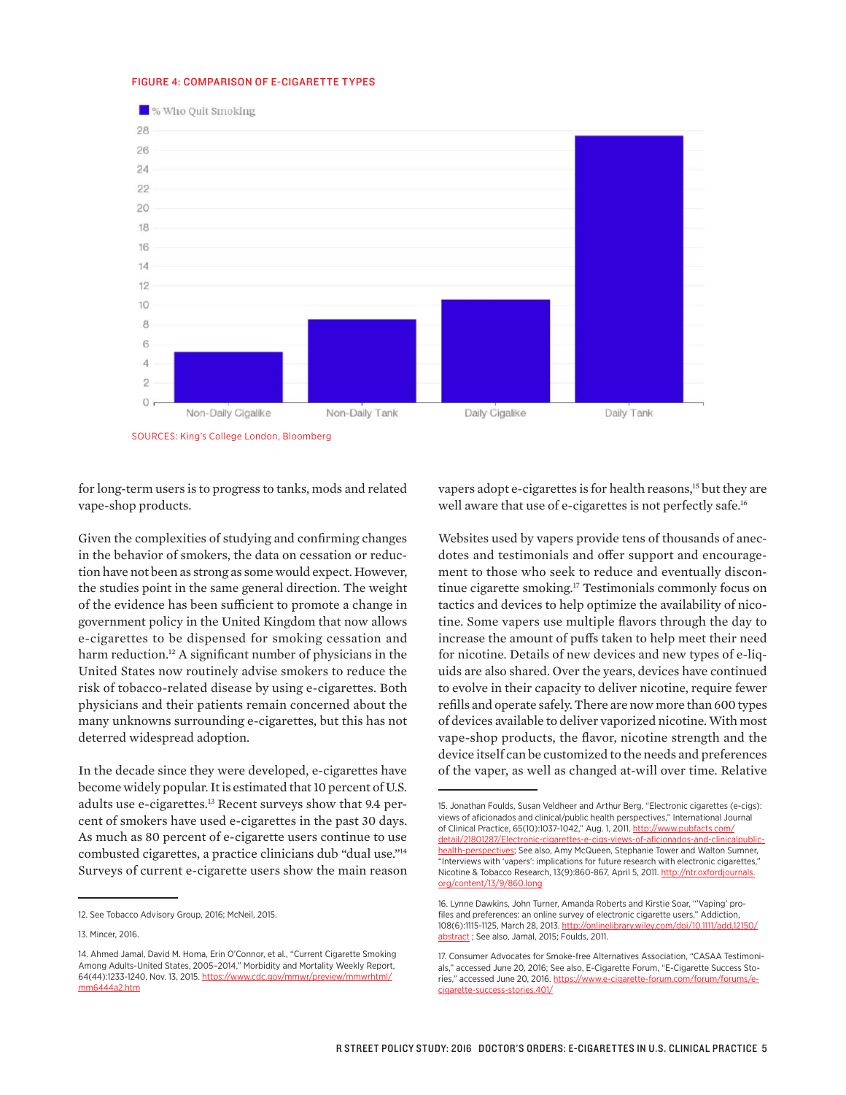#### FIGURE 4: COMPARISON OF E-CIGARETTE TYPES



SOURCES: King's College London, Bloomberg

for long-term users is to progress to tanks, mods and related vape-shop products.

Given the complexities of studying and confirming changes in the behavior of smokers, the data on cessation or reduction have not been as strong as some would expect. However, the studies point in the same general direction. The weight of the evidence has been sufficient to promote a change in government policy in the United Kingdom that now allows e-cigarettes to be dispensed for smoking cessation and harm reduction.<sup>12</sup> A significant number of physicians in the United States now routinely advise smokers to reduce the risk of tobacco-related disease by using e-cigarettes. Both physicians and their patients remain concerned about the many unknowns surrounding e-cigarettes, but this has not deterred widespread adoption.

In the decade since they were developed, e-cigarettes have become widely popular. It is estimated that 10 percent of U.S. adults use e-cigarettes.13 Recent surveys show that 9.4 percent of smokers have used e-cigarettes in the past 30 days. As much as 80 percent of e-cigarette users continue to use combusted cigarettes, a practice clinicians dub "dual use."14 Surveys of current e-cigarette users show the main reason vapers adopt e-cigarettes is for health reasons,<sup>15</sup> but they are well aware that use of e-cigarettes is not perfectly safe.16

Websites used by vapers provide tens of thousands of anecdotes and testimonials and offer support and encouragement to those who seek to reduce and eventually discontinue cigarette smoking.17 Testimonials commonly focus on tactics and devices to help optimize the availability of nicotine. Some vapers use multiple flavors through the day to increase the amount of puffs taken to help meet their need for nicotine. Details of new devices and new types of e-liquids are also shared. Over the years, devices have continued to evolve in their capacity to deliver nicotine, require fewer refills and operate safely. There are now more than 600 types of devices available to deliver vaporized nicotine. With most vape-shop products, the flavor, nicotine strength and the device itself can be customized to the needs and preferences of the vaper, as well as changed at-will over time. Relative

<sup>12.</sup> See Tobacco Advisory Group, 2016; McNeil, 2015.

<sup>13.</sup> Mincer, 2016.

<sup>14.</sup> Ahmed Jamal, David M. Homa, Erin O'Connor, et al., "Current Cigarette Smoking Among Adults-United States, 2005–2014," Morbidity and Mortality Weekly Report, 64(44):1233-1240, Nov. 13, 2015. [https://www.cdc.gov/mmwr/preview/mmwrhtml/](https://www.cdc.gov/mmwr/preview/mmwrhtml/mm6444a2.htm) [mm6444a2.htm](https://www.cdc.gov/mmwr/preview/mmwrhtml/mm6444a2.htm)

<sup>15.</sup> Jonathan Foulds, Susan Veldheer and Arthur Berg, "Electronic cigarettes (e-cigs): views of aficionados and clinical/public health perspectives," International Journal of Clinical Practice, 65(10):1037-1042," Aug. 1, 2011. [http://www.pubfacts.com/](http://www.pubfacts.com/detail/21801287/Electronic-cigarettes-e-cigs-views-of-aficionados-and-clinicalpublic-health-perspectives) [detail/21801287/Electronic-cigarettes-e-cigs-views-of-aficionados-and-clinicalpublic-](http://www.pubfacts.com/detail/21801287/Electronic-cigarettes-e-cigs-views-of-aficionados-and-clinicalpublic-health-perspectives)

[health-perspectives](http://www.pubfacts.com/detail/21801287/Electronic-cigarettes-e-cigs-views-of-aficionados-and-clinicalpublic-health-perspectives); See also, Amy McQueen, Stephanie Tower and Walton Sumner, "Interviews with 'vapers': implications for future research with electronic cigarettes," Nicotine & Tobacco Research, 13(9):860-867, April 5, 2011. [http://ntr.oxfordjournals.](http://ntr.oxfordjournals.org/content/13/9/860.long) [org/content/13/9/860.long](http://ntr.oxfordjournals.org/content/13/9/860.long)

<sup>16.</sup> Lynne Dawkins, John Turner, Amanda Roberts and Kirstie Soar, "'Vaping' profiles and preferences: an online survey of electronic cigarette users," Addiction, 108(6):1115-1125, March 28, 2013. [http://onlinelibrary.wiley.com/doi/10.1111/add.12150/](http://onlinelibrary.wiley.com/doi/10.1111/add.12150/abstract) [abstract](http://onlinelibrary.wiley.com/doi/10.1111/add.12150/abstract) ; See also, Jamal, 2015; Foulds, 2011.

<sup>17.</sup> Consumer Advocates for Smoke-free Alternatives Association, "CASAA Testimonials," accessed June 20, 2016; See also, E-Cigarette Forum, "E-Cigarette Success Stories," accessed June 20, 2016. [https://www.e-cigarette-forum.com/forum/forums/e](https://www.e-cigarette-forum.com/forum/forums/e-cigarette-success-stories.401/)[cigarette-success-stories.401/](https://www.e-cigarette-forum.com/forum/forums/e-cigarette-success-stories.401/)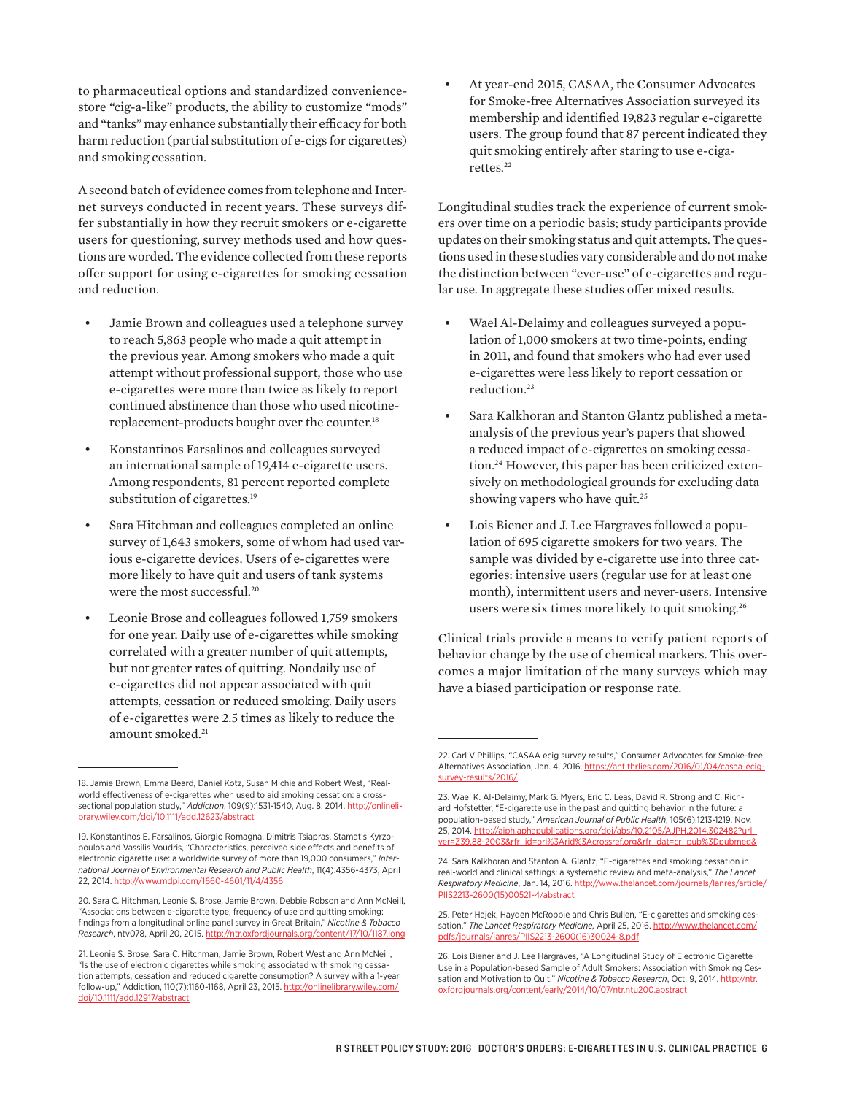to pharmaceutical options and standardized conveniencestore "cig-a-like" products, the ability to customize "mods" and "tanks" may enhance substantially their efficacy for both harm reduction (partial substitution of e-cigs for cigarettes) and smoking cessation.

A second batch of evidence comes from telephone and Internet surveys conducted in recent years. These surveys differ substantially in how they recruit smokers or e-cigarette users for questioning, survey methods used and how questions are worded. The evidence collected from these reports offer support for using e-cigarettes for smoking cessation and reduction.

- Jamie Brown and colleagues used a telephone survey to reach 5,863 people who made a quit attempt in the previous year. Among smokers who made a quit attempt without professional support, those who use e-cigarettes were more than twice as likely to report continued abstinence than those who used nicotinereplacement-products bought over the counter.18
- Konstantinos Farsalinos and colleagues surveyed an international sample of 19,414 e-cigarette users. Among respondents, 81 percent reported complete substitution of cigarettes.<sup>19</sup>
- Sara Hitchman and colleagues completed an online survey of 1,643 smokers, some of whom had used various e-cigarette devices. Users of e-cigarettes were more likely to have quit and users of tank systems were the most successful.<sup>20</sup>
- Leonie Brose and colleagues followed 1,759 smokers for one year. Daily use of e-cigarettes while smoking correlated with a greater number of quit attempts, but not greater rates of quitting. Nondaily use of e-cigarettes did not appear associated with quit attempts, cessation or reduced smoking. Daily users of e-cigarettes were 2.5 times as likely to reduce the amount smoked.<sup>21</sup>

• At year-end 2015, CASAA, the Consumer Advocates for Smoke-free Alternatives Association surveyed its membership and identified 19,823 regular e-cigarette users. The group found that 87 percent indicated they quit smoking entirely after staring to use e-cigarettes.<sup>22</sup>

Longitudinal studies track the experience of current smokers over time on a periodic basis; study participants provide updates on their smoking status and quit attempts. The questions used in these studies vary considerable and do not make the distinction between "ever-use" of e-cigarettes and regular use. In aggregate these studies offer mixed results.

- Wael Al-Delaimy and colleagues surveyed a population of 1,000 smokers at two time-points, ending in 2011, and found that smokers who had ever used e-cigarettes were less likely to report cessation or reduction.23
- Sara Kalkhoran and Stanton Glantz published a metaanalysis of the previous year's papers that showed a reduced impact of e-cigarettes on smoking cessation.24 However, this paper has been criticized extensively on methodological grounds for excluding data showing vapers who have quit.<sup>25</sup>
- Lois Biener and J. Lee Hargraves followed a population of 695 cigarette smokers for two years. The sample was divided by e-cigarette use into three categories: intensive users (regular use for at least one month), intermittent users and never-users. Intensive users were six times more likely to quit smoking.<sup>26</sup>

Clinical trials provide a means to verify patient reports of behavior change by the use of chemical markers. This overcomes a major limitation of the many surveys which may have a biased participation or response rate.

<sup>18.</sup> Jamie Brown, Emma Beard, Daniel Kotz, Susan Michie and Robert West, "Realworld effectiveness of e-cigarettes when used to aid smoking cessation: a crosssectional population study," *Addiction*, 109(9):1531-1540, Aug. 8, 2014. [http://onlineli-](http://onlinelibrary.wiley.com/doi/10.1111/add.12623/abstract)Adoi/10.1111/add.12623/abstract

<sup>19.</sup> Konstantinos E. Farsalinos, Giorgio Romagna, Dimitris Tsiapras, Stamatis Kyrzopoulos and Vassilis Voudris, "Characteristics, perceived side effects and benefits of electronic cigarette use: a worldwide survey of more than 19,000 consumers," *International Journal of Environmental Research and Public Health*, 11(4):4356-4373, April 22, 2014. <http://www.mdpi.com/1660-4601/11/4/4356>

<sup>20.</sup> Sara C. Hitchman, Leonie S. Brose, Jamie Brown, Debbie Robson and Ann McNeill, "Associations between e-cigarette type, frequency of use and quitting smoking: findings from a longitudinal online panel survey in Great Britain," *Nicotine & Tobacco Research*, ntv078, April 20, 2015. http://ntr.oxfordiournals.org/content/1

<sup>21.</sup> Leonie S. Brose, Sara C. Hitchman, Jamie Brown, Robert West and Ann McNeill, "Is the use of electronic cigarettes while smoking associated with smoking cessation attempts, cessation and reduced cigarette consumption? A survey with a 1-year follow-up," Addiction, 110(7):1160-1168, April 23, 2015. [http://onlinelibrary.wiley.com/](http://onlinelibrary.wiley.com/doi/10.1111/add.12917/abstract) [doi/10.1111/add.12917/abstract](http://onlinelibrary.wiley.com/doi/10.1111/add.12917/abstract)

<sup>22.</sup> Carl V Phillips, "CASAA ecig survey results," Consumer Advocates for Smoke-free Alternatives Association, Jan. 4, 2016. [https://antithrlies.com/2016/01/04/casaa-ecig](https://antithrlies.com/2016/01/04/casaa-ecig-survey-results/2016/)[survey-results/2016/](https://antithrlies.com/2016/01/04/casaa-ecig-survey-results/2016/)

<sup>23.</sup> Wael K. Al-Delaimy, Mark G. Myers, Eric C. Leas, David R. Strong and C. Richard Hofstetter, "E-cigarette use in the past and quitting behavior in the future: a population-based study," *American Journal of Public Health*, 105(6):1213-1219, Nov. 25, 2014. [http://ajph.aphapublications.org/doi/abs/10.2105/AJPH.2014.302482?url\\_](http://ajph.aphapublications.org/doi/abs/10.2105/AJPH.2014.302482?url_ver=Z39.88-2003&rfr_id=ori%3Arid%3Acrossref.org&rfr_dat=cr_pub%3Dpubmed&) [ver=Z39.88-2003&rfr\\_id=ori%3Arid%3Acrossref.org&rfr\\_dat=cr\\_pub%3Dpubmed&](http://ajph.aphapublications.org/doi/abs/10.2105/AJPH.2014.302482?url_ver=Z39.88-2003&rfr_id=ori%3Arid%3Acrossref.org&rfr_dat=cr_pub%3Dpubmed&)

<sup>24.</sup> Sara Kalkhoran and Stanton A. Glantz, "E-cigarettes and smoking cessation in real-world and clinical settings: a systematic review and meta-analysis," *The Lancet Respiratory Medicine*, Jan. 14, 2016. [http://www.thelancet.com/journals/lanres/article/](http://www.thelancet.com/journals/lanres/article/PIIS2213-2600(15)00521-4/abstract) [PIIS2213-2600\(15\)00521-4/abstract](http://www.thelancet.com/journals/lanres/article/PIIS2213-2600(15)00521-4/abstract)

<sup>25.</sup> Peter Hajek, Hayden McRobbie and Chris Bullen, "E-cigarettes and smoking cessation," The Lancet Respiratory Medicine, April 25, 2016. [http://www.thelancet.com/](http://www.thelancet.com/pdfs/journals/lanres/PIIS2213-2600(16)30024-8.pdf) [pdfs/journals/lanres/PIIS2213-2600\(16\)30024-8.pdf](http://www.thelancet.com/pdfs/journals/lanres/PIIS2213-2600(16)30024-8.pdf)

<sup>26.</sup> Lois Biener and J. Lee Hargraves, "A Longitudinal Study of Electronic Cigarette Use in a Population-based Sample of Adult Smokers: Association with Smoking Cessation and Motivation to Quit," *Nicotine & Tobacco Research*, Oct. 9, 2014. [http://ntr.](http://ntr.oxfordjournals.org/content/early/2014/10/07/ntr.ntu200.abstract) [oxfordjournals.org/content/early/2014/10/07/ntr.ntu200.abstract](http://ntr.oxfordjournals.org/content/early/2014/10/07/ntr.ntu200.abstract)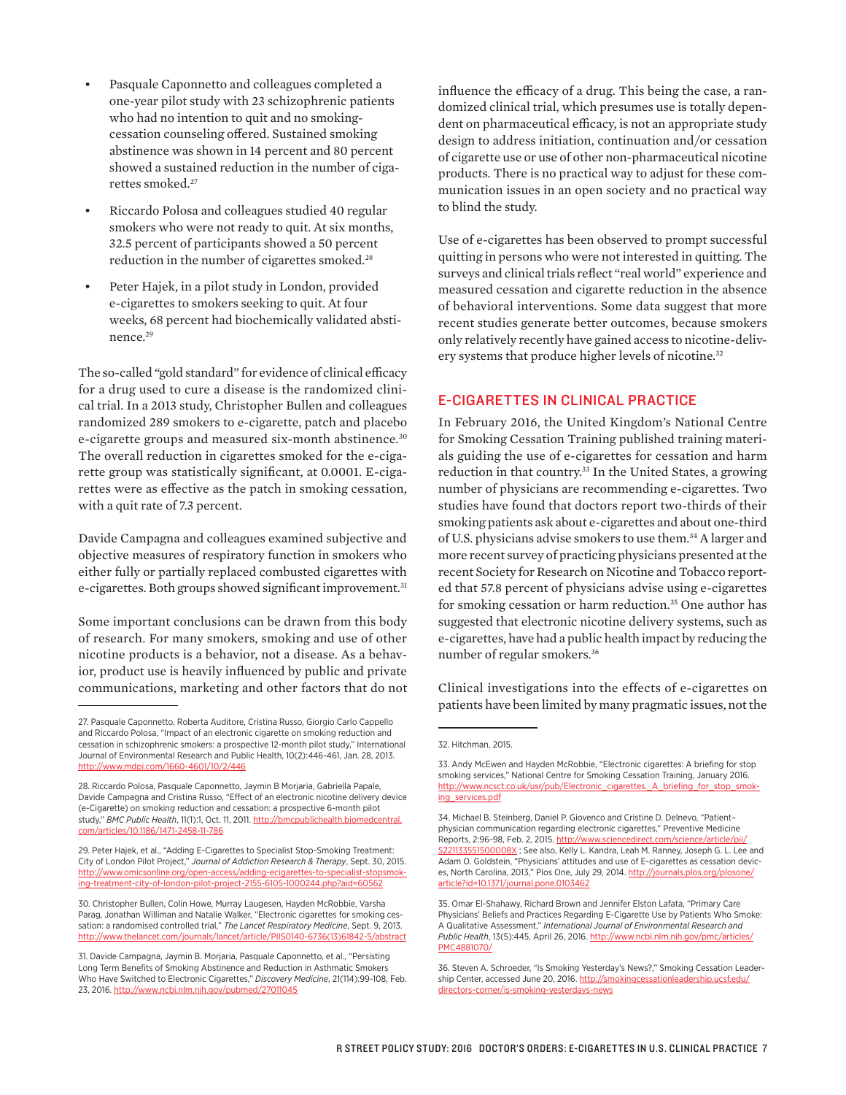- Pasquale Caponnetto and colleagues completed a one-year pilot study with 23 schizophrenic patients who had no intention to quit and no smokingcessation counseling offered. Sustained smoking abstinence was shown in 14 percent and 80 percent showed a sustained reduction in the number of cigarettes smoked.27
- Riccardo Polosa and colleagues studied 40 regular smokers who were not ready to quit. At six months, 32.5 percent of participants showed a 50 percent reduction in the number of cigarettes smoked.<sup>28</sup>
- Peter Hajek, in a pilot study in London, provided e-cigarettes to smokers seeking to quit. At four weeks, 68 percent had biochemically validated abstinence.<sup>29</sup>

The so-called "gold standard" for evidence of clinical efficacy for a drug used to cure a disease is the randomized clinical trial. In a 2013 study, Christopher Bullen and colleagues randomized 289 smokers to e-cigarette, patch and placebo e-cigarette groups and measured six-month abstinence.<sup>30</sup> The overall reduction in cigarettes smoked for the e-cigarette group was statistically significant, at 0.0001. E-cigarettes were as effective as the patch in smoking cessation, with a quit rate of 7.3 percent.

Davide Campagna and colleagues examined subjective and objective measures of respiratory function in smokers who either fully or partially replaced combusted cigarettes with e-cigarettes. Both groups showed significant improvement.<sup>31</sup>

Some important conclusions can be drawn from this body of research. For many smokers, smoking and use of other nicotine products is a behavior, not a disease. As a behavior, product use is heavily influenced by public and private communications, marketing and other factors that do not

influence the efficacy of a drug. This being the case, a randomized clinical trial, which presumes use is totally dependent on pharmaceutical efficacy, is not an appropriate study design to address initiation, continuation and/or cessation of cigarette use or use of other non-pharmaceutical nicotine products. There is no practical way to adjust for these communication issues in an open society and no practical way to blind the study.

Use of e-cigarettes has been observed to prompt successful quitting in persons who were not interested in quitting. The surveys and clinical trials reflect "real world" experience and measured cessation and cigarette reduction in the absence of behavioral interventions. Some data suggest that more recent studies generate better outcomes, because smokers only relatively recently have gained access to nicotine-delivery systems that produce higher levels of nicotine.<sup>32</sup>

### E-CIGARETTES IN CLINICAL PRACTICE

In February 2016, the United Kingdom's National Centre for Smoking Cessation Training published training materials guiding the use of e-cigarettes for cessation and harm reduction in that country.<sup>33</sup> In the United States, a growing number of physicians are recommending e-cigarettes. Two studies have found that doctors report two-thirds of their smoking patients ask about e-cigarettes and about one-third of U.S. physicians advise smokers to use them.<sup>34</sup> A larger and more recent survey of practicing physicians presented at the recent Society for Research on Nicotine and Tobacco reported that 57.8 percent of physicians advise using e-cigarettes for smoking cessation or harm reduction.<sup>35</sup> One author has suggested that electronic nicotine delivery systems, such as e-cigarettes, have had a public health impact by reducing the number of regular smokers.36

Clinical investigations into the effects of e-cigarettes on patients have been limited by many pragmatic issues, not the

<sup>27.</sup> Pasquale Caponnetto, Roberta Auditore, Cristina Russo, Giorgio Carlo Cappello and Riccardo Polosa, "Impact of an electronic cigarette on smoking reduction and cessation in schizophrenic smokers: a prospective 12-month pilot study," International Journal of Environmental Research and Public Health, 10(2):446-461, Jan. 28, 2013. <http://www.mdpi.com/1660-4601/10/2/446>

<sup>28.</sup> Riccardo Polosa, Pasquale Caponnetto, Jaymin B Morjaria, Gabriella Papale, Davide Campagna and Cristina Russo, "Effect of an electronic nicotine delivery device (e-Cigarette) on smoking reduction and cessation: a prospective 6-month pilot study," *BMC Public Health*, 11(1):1, Oct. 11, 2011. [http://bmcpublichealth.biomedcentral.](http://bmcpublichealth.biomedcentral.com/articles/10.1186/1471-2458-11-786) [com/articles/10.1186/1471-2458-11-786](http://bmcpublichealth.biomedcentral.com/articles/10.1186/1471-2458-11-786)

<sup>29.</sup> Peter Hajek, et al., "Adding E-Cigarettes to Specialist Stop-Smoking Treatment: City of London Pilot Project," *Journal of Addiction Research & Therapy*, Sept. 30, 2015. [http://www.omicsonline.org/open-access/adding-ecigarettes-to-specialist-stopsmok](http://www.omicsonline.org/open-access/adding-ecigarettes-to-specialist-stopsmoking-treatment-city-of-london-pilot-project-2155-6105-1000244.php?aid=60562)[ing-treatment-city-of-london-pilot-project-2155-6105-1000244.php?aid=60562](http://www.omicsonline.org/open-access/adding-ecigarettes-to-specialist-stopsmoking-treatment-city-of-london-pilot-project-2155-6105-1000244.php?aid=60562)

<sup>30.</sup> Christopher Bullen, Colin Howe, Murray Laugesen, Hayden McRobbie, Varsha Parag, Jonathan Williman and Natalie Walker, "Electronic cigarettes for smoking cessation: a randomised controlled trial," *The Lancet Respiratory Medicine*, Sept. 9, 2013. [http://www.thelancet.com/journals/lancet/article/PIIS0140-6736\(13\)61842-5/abstract](http://www.thelancet.com/journals/lancet/article/PIIS0140-6736(13)61842-5/abstract)

<sup>31.</sup> Davide Campagna, Jaymin B. Morjaria, Pasquale Caponnetto, et al., "Persisting Long Term Benefits of Smoking Abstinence and Reduction in Asthmatic Smokers Who Have Switched to Electronic Cigarettes," *Discovery Medicine*, 21(114):99-108, Feb. 23, 2016. <http://www.ncbi.nlm.nih.gov/pubmed/27011045>

<sup>32.</sup> Hitchman, 2015.

<sup>33.</sup> Andy McEwen and Hayden McRobbie, "Electronic cigarettes: A briefing for stop smoking services," National Centre for Smoking Cessation Training, January 2016. [http://www.ncsct.co.uk/usr/pub/Electronic\\_cigarettes.\\_A\\_briefing\\_for\\_stop\\_smok](http://www.ncsct.co.uk/usr/pub/Electronic_cigarettes._A_briefing_for_stop_smoking_services.pdf)[ing\\_services.pdf](http://www.ncsct.co.uk/usr/pub/Electronic_cigarettes._A_briefing_for_stop_smoking_services.pdf)

<sup>34.</sup> Michael B. Steinberg, Daniel P. Giovenco and Cristine D. Delnevo, "Patient– physician communication regarding electronic cigarettes," Preventive Medicine Reports, 2:96-98, Feb. 2, 2015. http://www.sciencedirect.com/science/article/pii, [S221133551500008X](http://www.sciencedirect.com/science/article/pii/S221133551500008X) ; See also, Kelly L. Kandra, Leah M. Ranney, Joseph G. L. Lee and Adam O. Goldstein, "Physicians' attitudes and use of E-cigarettes as cessation devices, North Carolina, 2013," Plos One, July 29, 2014. [http://journals.plos.org/plosone/](http://journals.plos.org/plosone/article?id=10.1371/journal.pone.0103462) [article?id=10.1371/journal.pone.0103462](http://journals.plos.org/plosone/article?id=10.1371/journal.pone.0103462)

<sup>35.</sup> Omar El-Shahawy, Richard Brown and Jennifer Elston Lafata, "Primary Care Physicians' Beliefs and Practices Regarding E-Cigarette Use by Patients Who Smoke: A Qualitative Assessment," *International Journal of Environmental Research and Public Health*, 13(5):445, April 26, 2016. [http://www.ncbi.nlm.nih.gov/pmc/articles/](http://www.ncbi.nlm.nih.gov/pmc/articles/PMC4881070/) [PMC4881070/](http://www.ncbi.nlm.nih.gov/pmc/articles/PMC4881070/)

<sup>36.</sup> Steven A. Schroeder, "Is Smoking Yesterday's News?," Smoking Cessation Leadership Center, accessed June 20, 2016. [http://smokingcessationleadership.ucsf.edu/](http://smokingcessationleadership.ucsf.edu/directors-corner/is-smoking-yesterdays-news) [directors-corner/is-smoking-yesterdays-news](http://smokingcessationleadership.ucsf.edu/directors-corner/is-smoking-yesterdays-news)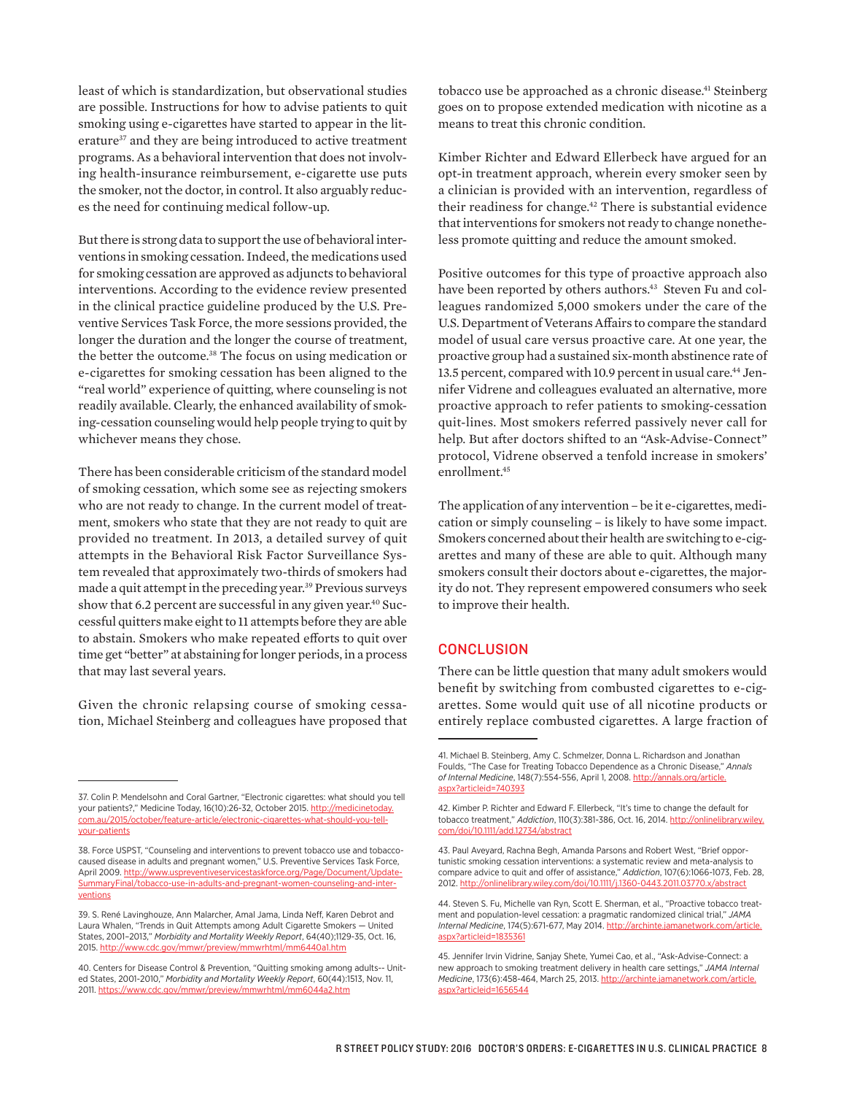least of which is standardization, but observational studies are possible. Instructions for how to advise patients to quit smoking using e-cigarettes have started to appear in the literature<sup>37</sup> and they are being introduced to active treatment programs. As a behavioral intervention that does not involving health-insurance reimbursement, e-cigarette use puts the smoker, not the doctor, in control. It also arguably reduces the need for continuing medical follow-up.

But there is strong data to support the use of behavioral interventions in smoking cessation. Indeed, the medications used for smoking cessation are approved as adjuncts to behavioral interventions. According to the evidence review presented in the clinical practice guideline produced by the U.S. Preventive Services Task Force, the more sessions provided, the longer the duration and the longer the course of treatment, the better the outcome.<sup>38</sup> The focus on using medication or e-cigarettes for smoking cessation has been aligned to the "real world" experience of quitting, where counseling is not readily available. Clearly, the enhanced availability of smoking-cessation counseling would help people trying to quit by whichever means they chose.

There has been considerable criticism of the standard model of smoking cessation, which some see as rejecting smokers who are not ready to change. In the current model of treatment, smokers who state that they are not ready to quit are provided no treatment. In 2013, a detailed survey of quit attempts in the Behavioral Risk Factor Surveillance System revealed that approximately two-thirds of smokers had made a quit attempt in the preceding year.39 Previous surveys show that 6.2 percent are successful in any given year.<sup>40</sup> Successful quitters make eight to 11 attempts before they are able to abstain. Smokers who make repeated efforts to quit over time get "better" at abstaining for longer periods, in a process that may last several years.

Given the chronic relapsing course of smoking cessation, Michael Steinberg and colleagues have proposed that

tobacco use be approached as a chronic disease.<sup>41</sup> Steinberg goes on to propose extended medication with nicotine as a means to treat this chronic condition.

Kimber Richter and Edward Ellerbeck have argued for an opt-in treatment approach, wherein every smoker seen by a clinician is provided with an intervention, regardless of their readiness for change.<sup>42</sup> There is substantial evidence that interventions for smokers not ready to change nonetheless promote quitting and reduce the amount smoked.

Positive outcomes for this type of proactive approach also have been reported by others authors.<sup>43</sup> Steven Fu and colleagues randomized 5,000 smokers under the care of the U.S. Department of Veterans Affairs to compare the standard model of usual care versus proactive care. At one year, the proactive group had a sustained six-month abstinence rate of 13.5 percent, compared with 10.9 percent in usual care.<sup>44</sup> Jennifer Vidrene and colleagues evaluated an alternative, more proactive approach to refer patients to smoking-cessation quit-lines. Most smokers referred passively never call for help. But after doctors shifted to an "Ask-Advise-Connect" protocol, Vidrene observed a tenfold increase in smokers' enrollment.45

The application of any intervention – be it e-cigarettes, medication or simply counseling – is likely to have some impact. Smokers concerned about their health are switching to e-cigarettes and many of these are able to quit. Although many smokers consult their doctors about e-cigarettes, the majority do not. They represent empowered consumers who seek to improve their health.

### **CONCLUSION**

There can be little question that many adult smokers would benefit by switching from combusted cigarettes to e-cigarettes. Some would quit use of all nicotine products or entirely replace combusted cigarettes. A large fraction of

<sup>37.</sup> Colin P. Mendelsohn and Coral Gartner, "Electronic cigarettes: what should you tell your patients?," Medicine Today, 16(10):26-32, October 2015. [http://medicinetoday.](http://medicinetoday.com.au/2015/october/feature-article/electronic-cigarettes-what-should-you-tell-your-patients) [com.au/2015/october/feature-article/electronic-cigarettes-what-should-you-tell](http://medicinetoday.com.au/2015/october/feature-article/electronic-cigarettes-what-should-you-tell-your-patients)[your-patients](http://medicinetoday.com.au/2015/october/feature-article/electronic-cigarettes-what-should-you-tell-your-patients)

<sup>38.</sup> Force USPST, "Counseling and interventions to prevent tobacco use and tobaccocaused disease in adults and pregnant women," U.S. Preventive Services Task Force, April 2009. [http://www.uspreventiveservicestaskforce.org/Page/Document/Update-](http://www.uspreventiveservicestaskforce.org/Page/Document/UpdateSummaryFinal/tobacco-use-in-adults-and-pregnant-women-counseling-and-interventions)[SummaryFinal/tobacco-use-in-adults-and-pregnant-women-counseling-and-inter](http://www.uspreventiveservicestaskforce.org/Page/Document/UpdateSummaryFinal/tobacco-use-in-adults-and-pregnant-women-counseling-and-interventions)[ventions](http://www.uspreventiveservicestaskforce.org/Page/Document/UpdateSummaryFinal/tobacco-use-in-adults-and-pregnant-women-counseling-and-interventions)

<sup>39.</sup> S. René Lavinghouze, Ann Malarcher, Amal Jama, Linda Neff, Karen Debrot and Laura Whalen, "Trends in Quit Attempts among Adult Cigarette Smokers — United States, 2001–2013," *Morbidity and Mortality Weekly Report*, 64(40);1129-35, Oct. 16, 2015. <http://www.cdc.gov/mmwr/preview/mmwrhtml/mm6440a1.htm>

<sup>40.</sup> Centers for Disease Control & Prevention, "Quitting smoking among adults-- United States, 2001-2010," *Morbidity and Mortality Weekly Report*, 60(44):1513, Nov. 11, 2011.<https://www.cdc.gov/mmwr/preview/mmwrhtml/mm6044a2.htm>

<sup>41.</sup> Michael B. Steinberg, Amy C. Schmelzer, Donna L. Richardson and Jonathan Foulds, "The Case for Treating Tobacco Dependence as a Chronic Disease," *Annals of Internal Medicine*, 148(7):554-556, April 1, 2008. [http://annals.org/article.](http://annals.org/article.aspx?articleid=740393) [aspx?articleid=740393](http://annals.org/article.aspx?articleid=740393)

<sup>42.</sup> Kimber P. Richter and Edward F. Ellerbeck, "It's time to change the default for tobacco treatment," *Addiction*, 110(3):381-386, Oct. 16, 2014. [http://onlinelibrary.wiley.](http://onlinelibrary.wiley.com/doi/10.1111/add.12734/abstract) [com/doi/10.1111/add.12734/abstract](http://onlinelibrary.wiley.com/doi/10.1111/add.12734/abstract)

<sup>43.</sup> Paul Aveyard, Rachna Begh, Amanda Parsons and Robert West, "Brief opportunistic smoking cessation interventions: a systematic review and meta-analysis to compare advice to quit and offer of assistance," *Addiction*, 107(6):1066-1073, Feb. 28, 2012.<http://onlinelibrary.wiley.com/doi/10.1111/j.1360-0443.2011.03770.x/abstract>

<sup>44.</sup> Steven S. Fu, Michelle van Ryn, Scott E. Sherman, et al., "Proactive tobacco treatment and population-level cessation: a pragmatic randomized clinical trial," *JAMA Internal Medicine*, 174(5):671-677, May 2014. [http://archinte.jamanetwork.com/article.](http://archinte.jamanetwork.com/article.aspx?articleid=1835361) [aspx?articleid=1835361](http://archinte.jamanetwork.com/article.aspx?articleid=1835361)

<sup>45.</sup> Jennifer Irvin Vidrine, Sanjay Shete, Yumei Cao, et al., "Ask-Advise-Connect: a new approach to smoking treatment delivery in health care settings," *JAMA Internal Medicine*, 173(6):458-464, March 25, 2013. [http://archinte.jamanetwork.com/article.](http://archinte.jamanetwork.com/article.aspx?articleid=1656544) [aspx?articleid=1656544](http://archinte.jamanetwork.com/article.aspx?articleid=1656544)